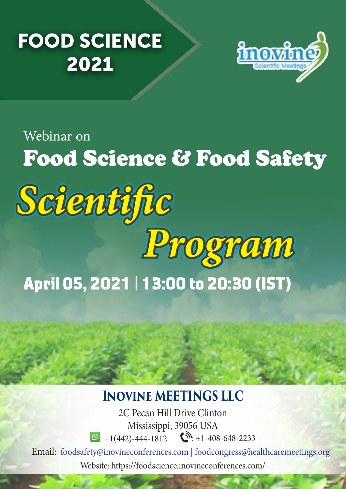## FOOD SCIENCE 2021



## Food Science & Food Safety Webinar on April 05, 2021 | 13:00 to 20:30 (IST) *Scientific Program*

## **Inovine MEETINGS LLC**

2C Pecan Hill Drive Clinton Mississippi, 39056 USA  $\bigcirc$  +1(442)-444-1812  $\bigcirc$  +1-408-648-2233

Email: foodsafety@inovineconferences.com | foodcongress@healthcaremeetings.org Website: https://foodscience.inovineconferences.com/